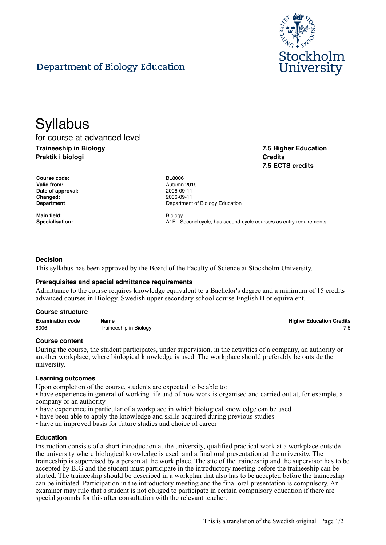

# Department of Biology Education

# **Syllabus**

for course at advanced level **Traineeship in Biology Praktik i biologi**

**7.5 Higher Education Credits 7.5 ECTS credits**

| <b>Course code:</b> | <b>BL8006</b> |
|---------------------|---------------|
| Valid from:         | Autumn        |
| Date of approval:   | 2006-09       |
| <b>Changed:</b>     | 2006-09       |
| Department          | Departn       |
|                     |               |

**Main field:** Biology

**Valid from:** Autumn 2019 **Date of approval:** 2006-09-11 **Changed:** 2006-09-11 **Department of Biology Education** 

**Specialisation:** A1F - Second cycle, has second-cycle course/s as entry requirements

## **Decision**

This syllabus has been approved by the Board of the Faculty of Science at Stockholm University.

## **Prerequisites and special admittance requirements**

Admittance to the course requires knowledge equivalent to a Bachelor's degree and a minimum of 15 credits advanced courses in Biology. Swedish upper secondary school course English B or equivalent.

#### **Course structure**

| <b>Examination code</b> | Name                   | <b>Higher Education Credits</b> |
|-------------------------|------------------------|---------------------------------|
| 8006                    | Traineeship in Biology |                                 |

#### **Course content**

During the course, the student participates, under supervision, in the activities of a company, an authority or another workplace, where biological knowledge is used. The workplace should preferably be outside the university.

#### **Learning outcomes**

Upon completion of the course, students are expected to be able to:

• have experience in general of working life and of how work is organised and carried out at, for example, a company or an authority

- have experience in particular of a workplace in which biological knowledge can be used
- have been able to apply the knowledge and skills acquired during previous studies
- have an improved basis for future studies and choice of career

#### **Education**

Instruction consists of a short introduction at the university, qualified practical work at a workplace outside the university where biological knowledge is used and a final oral presentation at the university. The traineeship is supervised by a person at the work place. The site of the traineeship and the supervisor has to be accepted by BIG and the student must participate in the introductory meeting before the traineeship can be started. The traineeship should be described in a workplan that also has to be accepted before the traineeship can be initiated. Participation in the introductory meeting and the final oral presentation is compulsory. An examiner may rule that a student is not obliged to participate in certain compulsory education if there are special grounds for this after consultation with the relevant teacher.